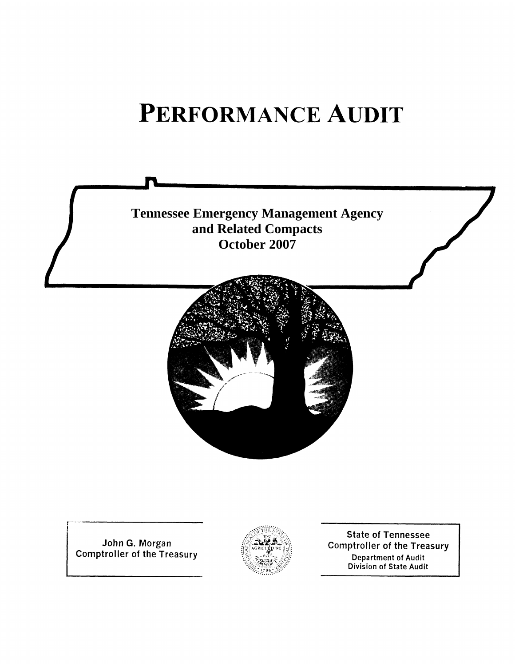# PERFORMANCE AUDIT



John G. Morgan<br>Comptroller of the Treasury



**State of Tennessee Comptroller of the Treasury** Department of Audit Division of State Audit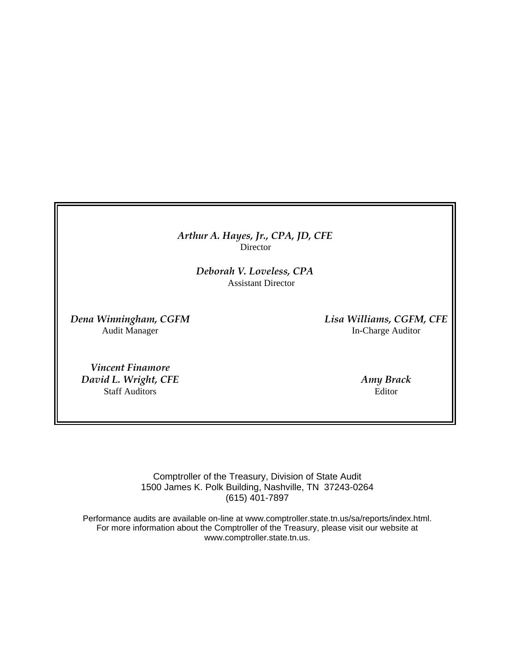*Arthur A. Hayes, Jr., CPA, JD, CFE* Director

> *Deborah V. Loveless, CPA* Assistant Director

*Dena Winningham, CGFM Lisa Williams, CGFM, CFE* **In-Charge Auditor** 

*Vincent Finamore David L. Wright, CFE* Amy *Brack Amy Brack Amy Brack* Staff Auditors Editor

Comptroller of the Treasury, Division of State Audit 1500 James K. Polk Building, Nashville, TN 37243-0264 (615) 401-7897

Performance audits are available on-line at www.comptroller.state.tn.us/sa/reports/index.html. For more information about the Comptroller of the Treasury, please visit our website at www.comptroller.state.tn.us.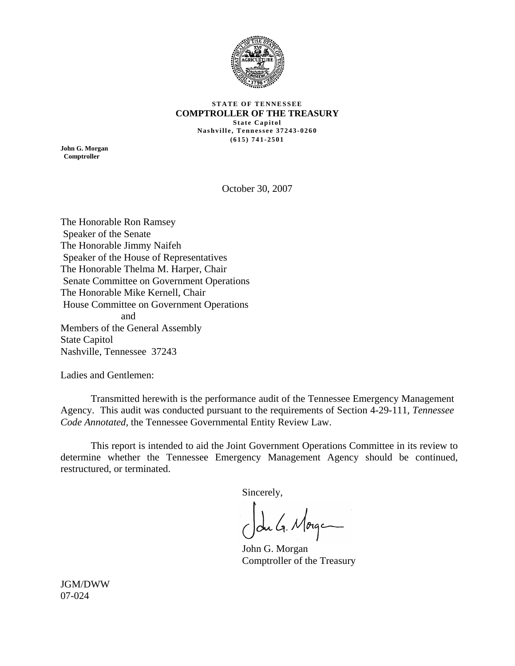

#### **STATE OF TENNESSEE COMPTROLLER OF THE TREASURY State Capitol Nashville, Tennessee 37243-0260 (615) 741-2501**

**John G. Morgan Comptroller** 

October 30, 2007

The Honorable Ron Ramsey Speaker of the Senate The Honorable Jimmy Naifeh Speaker of the House of Representatives The Honorable Thelma M. Harper, Chair Senate Committee on Government Operations The Honorable Mike Kernell, Chair House Committee on Government Operations and Members of the General Assembly State Capitol Nashville, Tennessee 37243

Ladies and Gentlemen:

 Transmitted herewith is the performance audit of the Tennessee Emergency Management Agency. This audit was conducted pursuant to the requirements of Section 4-29-111, *Tennessee Code Annotated,* the Tennessee Governmental Entity Review Law.

 This report is intended to aid the Joint Government Operations Committee in its review to determine whether the Tennessee Emergency Management Agency should be continued, restructured, or terminated.

Sincerely,

du G. Morge

John G. Morgan Comptroller of the Treasury

JGM/DWW 07-024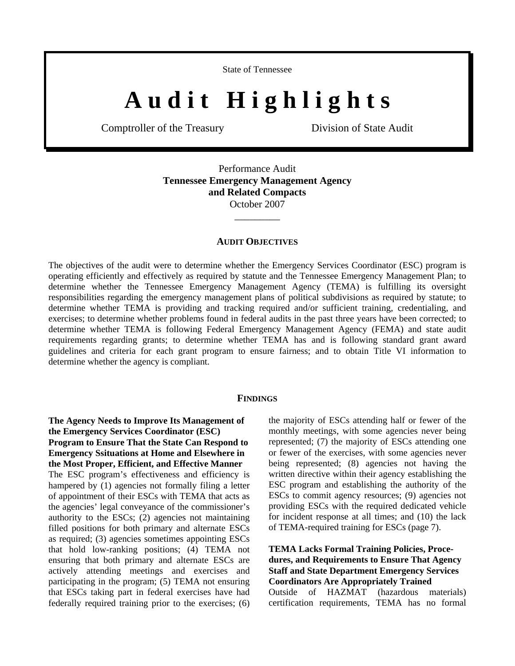State of Tennessee

# A u d i t H i g h l i g h t s

Comptroller of the Treasury Division of State Audit

Performance Audit **Tennessee Emergency Management Agency and Related Compacts**  October 2007

#### **AUDIT OBJECTIVES**

\_\_\_\_\_\_\_\_\_

The objectives of the audit were to determine whether the Emergency Services Coordinator (ESC) program is operating efficiently and effectively as required by statute and the Tennessee Emergency Management Plan; to determine whether the Tennessee Emergency Management Agency (TEMA) is fulfilling its oversight responsibilities regarding the emergency management plans of political subdivisions as required by statute; to determine whether TEMA is providing and tracking required and/or sufficient training, credentialing, and exercises; to determine whether problems found in federal audits in the past three years have been corrected; to determine whether TEMA is following Federal Emergency Management Agency (FEMA) and state audit requirements regarding grants; to determine whether TEMA has and is following standard grant award guidelines and criteria for each grant program to ensure fairness; and to obtain Title VI information to determine whether the agency is compliant.

#### **FINDINGS**

**The Agency Needs to Improve Its Management of the Emergency Services Coordinator (ESC) Program to Ensure That the State Can Respond to Emergency Ssituations at Home and Elsewhere in the Most Proper, Efficient, and Effective Manner** 

The ESC program's effectiveness and efficiency is hampered by (1) agencies not formally filing a letter of appointment of their ESCs with TEMA that acts as the agencies' legal conveyance of the commissioner's authority to the ESCs; (2) agencies not maintaining filled positions for both primary and alternate ESCs as required; (3) agencies sometimes appointing ESCs that hold low-ranking positions; (4) TEMA not ensuring that both primary and alternate ESCs are actively attending meetings and exercises and participating in the program; (5) TEMA not ensuring that ESCs taking part in federal exercises have had federally required training prior to the exercises; (6) the majority of ESCs attending half or fewer of the monthly meetings, with some agencies never being represented; (7) the majority of ESCs attending one or fewer of the exercises, with some agencies never being represented; (8) agencies not having the written directive within their agency establishing the ESC program and establishing the authority of the ESCs to commit agency resources; (9) agencies not providing ESCs with the required dedicated vehicle for incident response at all times; and (10) the lack of TEMA-required training for ESCs (page 7).

**TEMA Lacks Formal Training Policies, Procedures, and Requirements to Ensure That Agency Staff and State Department Emergency Services Coordinators Are Appropriately Trained**  Outside of HAZMAT (hazardous materials) certification requirements, TEMA has no formal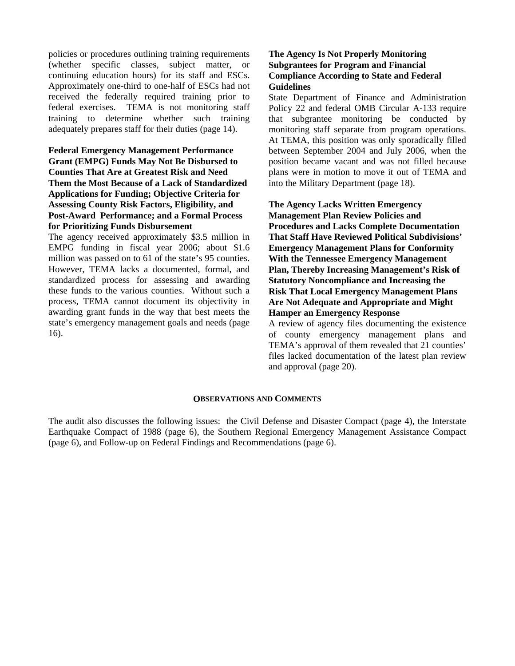policies or procedures outlining training requirements (whether specific classes, subject matter, or continuing education hours) for its staff and ESCs. Approximately one-third to one-half of ESCs had not received the federally required training prior to federal exercises. TEMA is not monitoring staff training to determine whether such training adequately prepares staff for their duties (page 14).

### **Federal Emergency Management Performance Grant (EMPG) Funds May Not Be Disbursed to Counties That Are at Greatest Risk and Need Them the Most Because of a Lack of Standardized Applications for Funding; Objective Criteria for Assessing County Risk Factors, Eligibility, and Post-Award Performance; and a Formal Process for Prioritizing Funds Disbursement**

The agency received approximately \$3.5 million in EMPG funding in fiscal year 2006; about \$1.6 million was passed on to 61 of the state's 95 counties. However, TEMA lacks a documented, formal, and standardized process for assessing and awarding these funds to the various counties. Without such a process, TEMA cannot document its objectivity in awarding grant funds in the way that best meets the state's emergency management goals and needs (page 16).

#### **The Agency Is Not Properly Monitoring Subgrantees for Program and Financial Compliance According to State and Federal Guidelines**

State Department of Finance and Administration Policy 22 and federal OMB Circular A-133 require that subgrantee monitoring be conducted by monitoring staff separate from program operations. At TEMA, this position was only sporadically filled between September 2004 and July 2006, when the position became vacant and was not filled because plans were in motion to move it out of TEMA and into the Military Department (page 18).

**The Agency Lacks Written Emergency Management Plan Review Policies and Procedures and Lacks Complete Documentation That Staff Have Reviewed Political Subdivisions' Emergency Management Plans for Conformity With the Tennessee Emergency Management Plan, Thereby Increasing Management's Risk of Statutory Noncompliance and Increasing the Risk That Local Emergency Management Plans Are Not Adequate and Appropriate and Might Hamper an Emergency Response**

A review of agency files documenting the existence of county emergency management plans and TEMA's approval of them revealed that 21 counties' files lacked documentation of the latest plan review and approval (page 20).

#### **OBSERVATIONS AND COMMENTS**

The audit also discusses the following issues: the Civil Defense and Disaster Compact (page 4), the Interstate Earthquake Compact of 1988 (page 6), the Southern Regional Emergency Management Assistance Compact (page 6), and Follow-up on Federal Findings and Recommendations (page 6).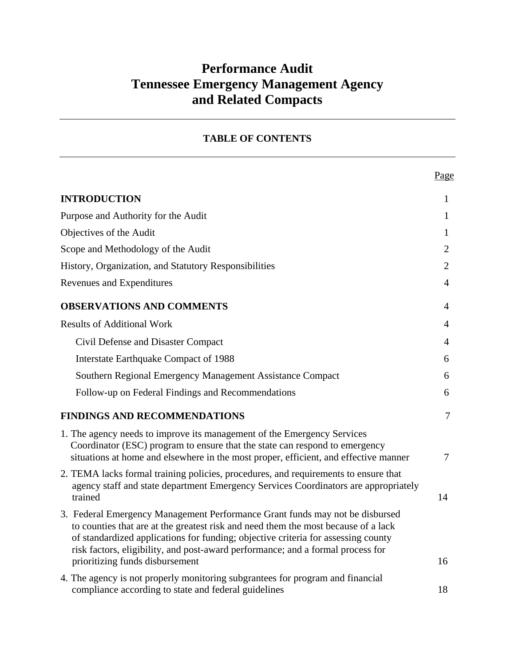# **Performance Audit Tennessee Emergency Management Agency and Related Compacts**

| <b>TABLE OF CONTENTS</b> |  |  |
|--------------------------|--|--|
|--------------------------|--|--|

|                                                                                                                                                                                                                                                                                                                                                                               | Page           |
|-------------------------------------------------------------------------------------------------------------------------------------------------------------------------------------------------------------------------------------------------------------------------------------------------------------------------------------------------------------------------------|----------------|
| <b>INTRODUCTION</b>                                                                                                                                                                                                                                                                                                                                                           | 1              |
| Purpose and Authority for the Audit                                                                                                                                                                                                                                                                                                                                           | $\mathbf{1}$   |
| Objectives of the Audit                                                                                                                                                                                                                                                                                                                                                       | 1              |
| Scope and Methodology of the Audit                                                                                                                                                                                                                                                                                                                                            | $\overline{2}$ |
| History, Organization, and Statutory Responsibilities                                                                                                                                                                                                                                                                                                                         | 2              |
| Revenues and Expenditures                                                                                                                                                                                                                                                                                                                                                     | 4              |
| <b>OBSERVATIONS AND COMMENTS</b>                                                                                                                                                                                                                                                                                                                                              | $\overline{4}$ |
| <b>Results of Additional Work</b>                                                                                                                                                                                                                                                                                                                                             | 4              |
| Civil Defense and Disaster Compact                                                                                                                                                                                                                                                                                                                                            | 4              |
| <b>Interstate Earthquake Compact of 1988</b>                                                                                                                                                                                                                                                                                                                                  | 6              |
| Southern Regional Emergency Management Assistance Compact                                                                                                                                                                                                                                                                                                                     | 6              |
| Follow-up on Federal Findings and Recommendations                                                                                                                                                                                                                                                                                                                             | 6              |
| <b>FINDINGS AND RECOMMENDATIONS</b>                                                                                                                                                                                                                                                                                                                                           | $\tau$         |
| 1. The agency needs to improve its management of the Emergency Services<br>Coordinator (ESC) program to ensure that the state can respond to emergency<br>situations at home and elsewhere in the most proper, efficient, and effective manner                                                                                                                                | $\overline{7}$ |
| 2. TEMA lacks formal training policies, procedures, and requirements to ensure that<br>agency staff and state department Emergency Services Coordinators are appropriately<br>trained                                                                                                                                                                                         | 14             |
| 3. Federal Emergency Management Performance Grant funds may not be disbursed<br>to counties that are at the greatest risk and need them the most because of a lack<br>of standardized applications for funding; objective criteria for assessing county<br>risk factors, eligibility, and post-award performance; and a formal process for<br>prioritizing funds disbursement | 16             |
| 4. The agency is not properly monitoring subgrantees for program and financial<br>compliance according to state and federal guidelines                                                                                                                                                                                                                                        | 18             |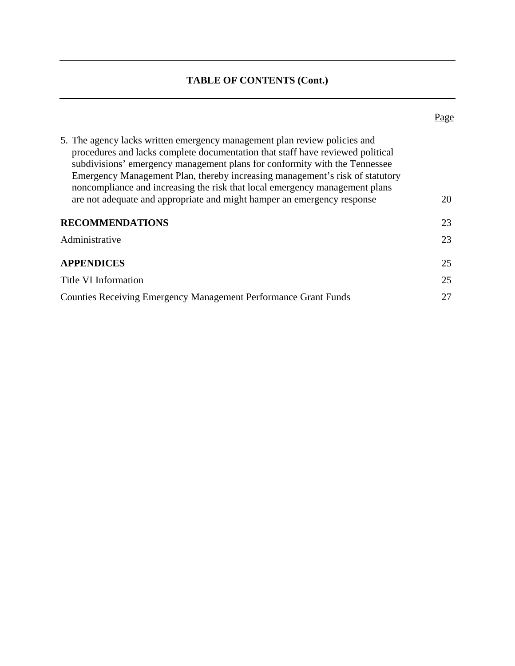# **TABLE OF CONTENTS (Cont.)**

|--|

| 5. The agency lacks written emergency management plan review policies and<br>procedures and lacks complete documentation that staff have reviewed political<br>subdivisions' emergency management plans for conformity with the Tennessee<br>Emergency Management Plan, thereby increasing management's risk of statutory<br>noncompliance and increasing the risk that local emergency management plans<br>are not adequate and appropriate and might hamper an emergency response | 20 |
|-------------------------------------------------------------------------------------------------------------------------------------------------------------------------------------------------------------------------------------------------------------------------------------------------------------------------------------------------------------------------------------------------------------------------------------------------------------------------------------|----|
| <b>RECOMMENDATIONS</b>                                                                                                                                                                                                                                                                                                                                                                                                                                                              | 23 |
| Administrative                                                                                                                                                                                                                                                                                                                                                                                                                                                                      | 23 |
| <b>APPENDICES</b>                                                                                                                                                                                                                                                                                                                                                                                                                                                                   | 25 |
| Title VI Information                                                                                                                                                                                                                                                                                                                                                                                                                                                                | 25 |
| <b>Counties Receiving Emergency Management Performance Grant Funds</b>                                                                                                                                                                                                                                                                                                                                                                                                              | 27 |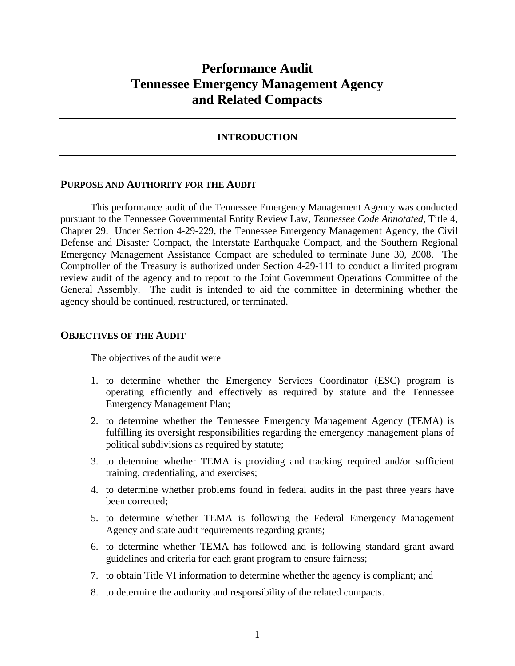# **Performance Audit Tennessee Emergency Management Agency and Related Compacts**

# **INTRODUCTION**

#### **PURPOSE AND AUTHORITY FOR THE AUDIT**

 This performance audit of the Tennessee Emergency Management Agency was conducted pursuant to the Tennessee Governmental Entity Review Law, *Tennessee Code Annotated*, Title 4, Chapter 29. Under Section 4-29-229, the Tennessee Emergency Management Agency, the Civil Defense and Disaster Compact, the Interstate Earthquake Compact, and the Southern Regional Emergency Management Assistance Compact are scheduled to terminate June 30, 2008. The Comptroller of the Treasury is authorized under Section 4-29-111 to conduct a limited program review audit of the agency and to report to the Joint Government Operations Committee of the General Assembly. The audit is intended to aid the committee in determining whether the agency should be continued, restructured, or terminated.

#### **OBJECTIVES OF THE AUDIT**

The objectives of the audit were

- 1. to determine whether the Emergency Services Coordinator (ESC) program is operating efficiently and effectively as required by statute and the Tennessee Emergency Management Plan;
- 2. to determine whether the Tennessee Emergency Management Agency (TEMA) is fulfilling its oversight responsibilities regarding the emergency management plans of political subdivisions as required by statute;
- 3. to determine whether TEMA is providing and tracking required and/or sufficient training, credentialing, and exercises;
- 4. to determine whether problems found in federal audits in the past three years have been corrected;
- 5. to determine whether TEMA is following the Federal Emergency Management Agency and state audit requirements regarding grants;
- 6. to determine whether TEMA has followed and is following standard grant award guidelines and criteria for each grant program to ensure fairness;
- 7. to obtain Title VI information to determine whether the agency is compliant; and
- 8. to determine the authority and responsibility of the related compacts.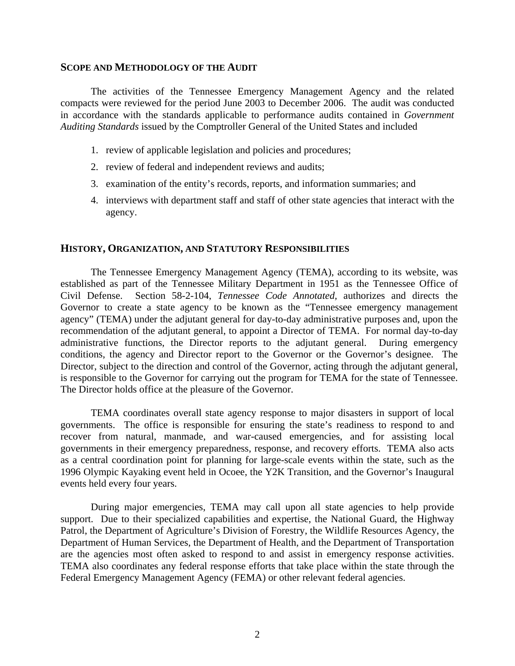#### **SCOPE AND METHODOLOGY OF THE AUDIT**

 The activities of the Tennessee Emergency Management Agency and the related compacts were reviewed for the period June 2003 to December 2006. The audit was conducted in accordance with the standards applicable to performance audits contained in *Government Auditing Standards* issued by the Comptroller General of the United States and included

- 1. review of applicable legislation and policies and procedures;
- 2. review of federal and independent reviews and audits;
- 3. examination of the entity's records, reports, and information summaries; and
- 4. interviews with department staff and staff of other state agencies that interact with the agency.

#### **HISTORY, ORGANIZATION, AND STATUTORY RESPONSIBILITIES**

The Tennessee Emergency Management Agency (TEMA), according to its website, was established as part of the Tennessee Military Department in 1951 as the Tennessee Office of Civil Defense. Section 58-2-104, *Tennessee Code Annotated,* authorizes and directs the Governor to create a state agency to be known as the "Tennessee emergency management agency" (TEMA) under the adjutant general for day-to-day administrative purposes and, upon the recommendation of the adjutant general, to appoint a Director of TEMA. For normal day-to-day administrative functions, the Director reports to the adjutant general. During emergency conditions, the agency and Director report to the Governor or the Governor's designee. The Director, subject to the direction and control of the Governor, acting through the adjutant general, is responsible to the Governor for carrying out the program for TEMA for the state of Tennessee. The Director holds office at the pleasure of the Governor.

TEMA coordinates overall state agency response to major disasters in support of local governments. The office is responsible for ensuring the state's readiness to respond to and recover from natural, manmade, and war-caused emergencies, and for assisting local governments in their emergency preparedness, response, and recovery efforts. TEMA also acts as a central coordination point for planning for large-scale events within the state, such as the 1996 Olympic Kayaking event held in Ocoee, the Y2K Transition, and the Governor's Inaugural events held every four years.

During major emergencies, TEMA may call upon all state agencies to help provide support. Due to their specialized capabilities and expertise, the National Guard, the Highway Patrol, the Department of Agriculture's Division of Forestry, the Wildlife Resources Agency, the Department of Human Services, the Department of Health, and the Department of Transportation are the agencies most often asked to respond to and assist in emergency response activities. TEMA also coordinates any federal response efforts that take place within the state through the Federal Emergency Management Agency (FEMA) or other relevant federal agencies.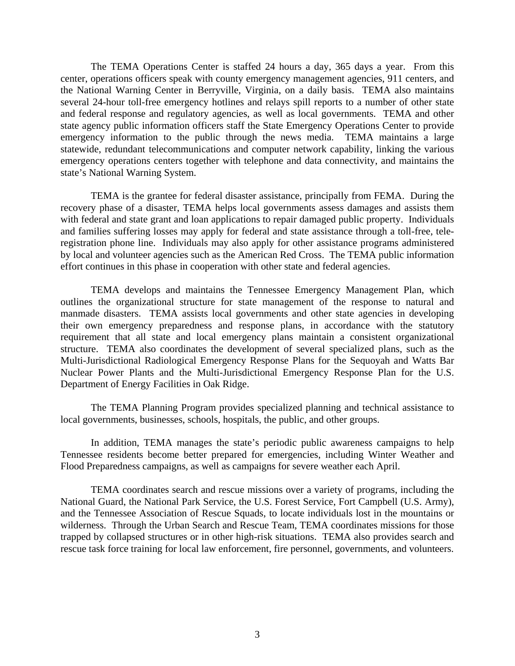The TEMA Operations Center is staffed 24 hours a day, 365 days a year. From this center, operations officers speak with county emergency management agencies, 911 centers, and the National Warning Center in Berryville, Virginia, on a daily basis. TEMA also maintains several 24-hour toll-free emergency hotlines and relays spill reports to a number of other state and federal response and regulatory agencies, as well as local governments. TEMA and other state agency public information officers staff the State Emergency Operations Center to provide emergency information to the public through the news media. TEMA maintains a large statewide, redundant telecommunications and computer network capability, linking the various emergency operations centers together with telephone and data connectivity, and maintains the state's National Warning System.

TEMA is the grantee for federal disaster assistance, principally from FEMA. During the recovery phase of a disaster, TEMA helps local governments assess damages and assists them with federal and state grant and loan applications to repair damaged public property. Individuals and families suffering losses may apply for federal and state assistance through a toll-free, teleregistration phone line. Individuals may also apply for other assistance programs administered by local and volunteer agencies such as the American Red Cross. The TEMA public information effort continues in this phase in cooperation with other state and federal agencies.

TEMA develops and maintains the Tennessee Emergency Management Plan, which outlines the organizational structure for state management of the response to natural and manmade disasters. TEMA assists local governments and other state agencies in developing their own emergency preparedness and response plans, in accordance with the statutory requirement that all state and local emergency plans maintain a consistent organizational structure. TEMA also coordinates the development of several specialized plans, such as the Multi-Jurisdictional Radiological Emergency Response Plans for the Sequoyah and Watts Bar Nuclear Power Plants and the Multi-Jurisdictional Emergency Response Plan for the U.S. Department of Energy Facilities in Oak Ridge.

The TEMA Planning Program provides specialized planning and technical assistance to local governments, businesses, schools, hospitals, the public, and other groups.

In addition, TEMA manages the state's periodic public awareness campaigns to help Tennessee residents become better prepared for emergencies, including Winter Weather and Flood Preparedness campaigns, as well as campaigns for severe weather each April.

TEMA coordinates search and rescue missions over a variety of programs, including the National Guard, the National Park Service, the U.S. Forest Service, Fort Campbell (U.S. Army), and the Tennessee Association of Rescue Squads, to locate individuals lost in the mountains or wilderness. Through the Urban Search and Rescue Team, TEMA coordinates missions for those trapped by collapsed structures or in other high-risk situations. TEMA also provides search and rescue task force training for local law enforcement, fire personnel, governments, and volunteers.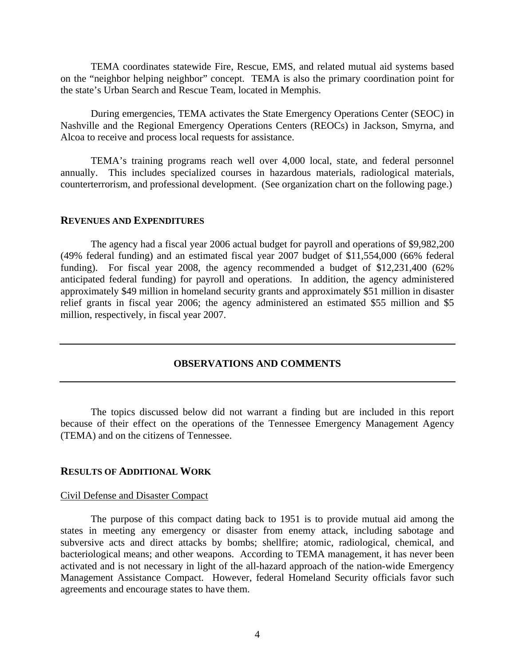TEMA coordinates statewide Fire, Rescue, EMS, and related mutual aid systems based on the "neighbor helping neighbor" concept. TEMA is also the primary coordination point for the state's Urban Search and Rescue Team, located in Memphis.

During emergencies, TEMA activates the State Emergency Operations Center (SEOC) in Nashville and the Regional Emergency Operations Centers (REOCs) in Jackson, Smyrna, and Alcoa to receive and process local requests for assistance.

TEMA's training programs reach well over 4,000 local, state, and federal personnel annually. This includes specialized courses in hazardous materials, radiological materials, counterterrorism, and professional development. (See organization chart on the following page.)

#### **REVENUES AND EXPENDITURES**

 The agency had a fiscal year 2006 actual budget for payroll and operations of \$9,982,200 (49% federal funding) and an estimated fiscal year 2007 budget of \$11,554,000 (66% federal funding). For fiscal year 2008, the agency recommended a budget of \$12,231,400 (62% anticipated federal funding) for payroll and operations. In addition, the agency administered approximately \$49 million in homeland security grants and approximately \$51 million in disaster relief grants in fiscal year 2006; the agency administered an estimated \$55 million and \$5 million, respectively, in fiscal year 2007.

# **OBSERVATIONS AND COMMENTS**

 The topics discussed below did not warrant a finding but are included in this report because of their effect on the operations of the Tennessee Emergency Management Agency (TEMA) and on the citizens of Tennessee.

#### **RESULTS OF ADDITIONAL WORK**

#### Civil Defense and Disaster Compact

The purpose of this compact dating back to 1951 is to provide mutual aid among the states in meeting any emergency or disaster from enemy attack, including sabotage and subversive acts and direct attacks by bombs; shellfire; atomic, radiological, chemical, and bacteriological means; and other weapons. According to TEMA management, it has never been activated and is not necessary in light of the all-hazard approach of the nation-wide Emergency Management Assistance Compact. However, federal Homeland Security officials favor such agreements and encourage states to have them.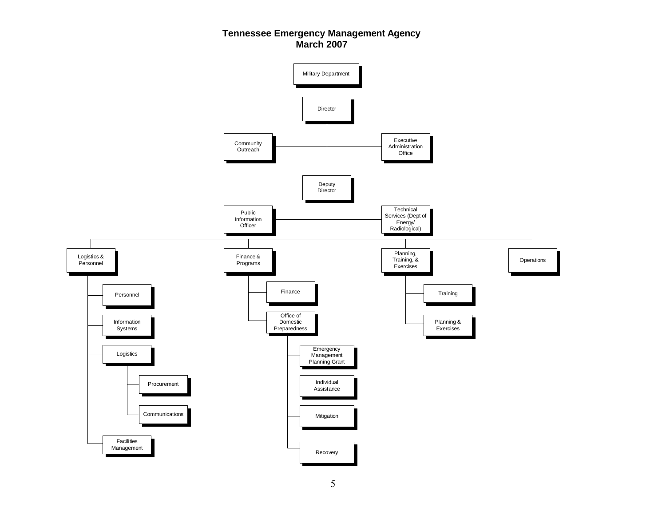# **Tennessee Emergency Management Agency March 2007**

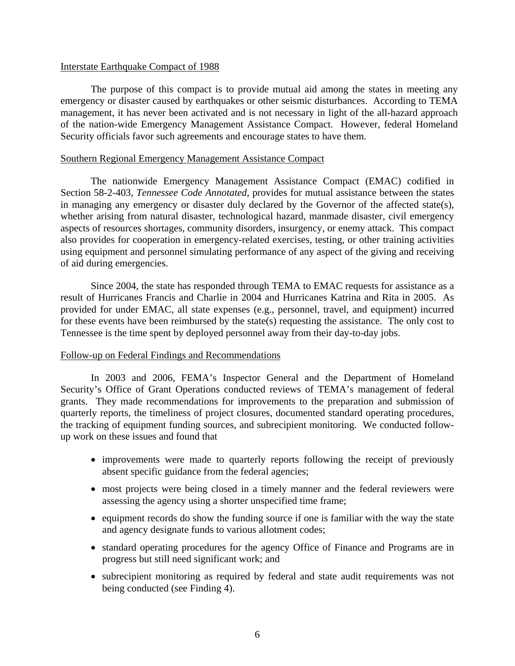## Interstate Earthquake Compact of 1988

 The purpose of this compact is to provide mutual aid among the states in meeting any emergency or disaster caused by earthquakes or other seismic disturbances. According to TEMA management, it has never been activated and is not necessary in light of the all-hazard approach of the nation-wide Emergency Management Assistance Compact. However, federal Homeland Security officials favor such agreements and encourage states to have them.

# Southern Regional Emergency Management Assistance Compact

 The nationwide Emergency Management Assistance Compact (EMAC) codified in Section 58-2-403, *Tennessee Code Annotated*, provides for mutual assistance between the states in managing any emergency or disaster duly declared by the Governor of the affected state(s), whether arising from natural disaster, technological hazard, manmade disaster, civil emergency aspects of resources shortages, community disorders, insurgency, or enemy attack. This compact also provides for cooperation in emergency-related exercises, testing, or other training activities using equipment and personnel simulating performance of any aspect of the giving and receiving of aid during emergencies.

 Since 2004, the state has responded through TEMA to EMAC requests for assistance as a result of Hurricanes Francis and Charlie in 2004 and Hurricanes Katrina and Rita in 2005. As provided for under EMAC, all state expenses (e.g., personnel, travel, and equipment) incurred for these events have been reimbursed by the state(s) requesting the assistance. The only cost to Tennessee is the time spent by deployed personnel away from their day-to-day jobs.

# Follow-up on Federal Findings and Recommendations

 In 2003 and 2006, FEMA's Inspector General and the Department of Homeland Security's Office of Grant Operations conducted reviews of TEMA's management of federal grants. They made recommendations for improvements to the preparation and submission of quarterly reports, the timeliness of project closures, documented standard operating procedures, the tracking of equipment funding sources, and subrecipient monitoring. We conducted followup work on these issues and found that

- improvements were made to quarterly reports following the receipt of previously absent specific guidance from the federal agencies;
- most projects were being closed in a timely manner and the federal reviewers were assessing the agency using a shorter unspecified time frame;
- equipment records do show the funding source if one is familiar with the way the state and agency designate funds to various allotment codes;
- standard operating procedures for the agency Office of Finance and Programs are in progress but still need significant work; and
- subrecipient monitoring as required by federal and state audit requirements was not being conducted (see Finding 4).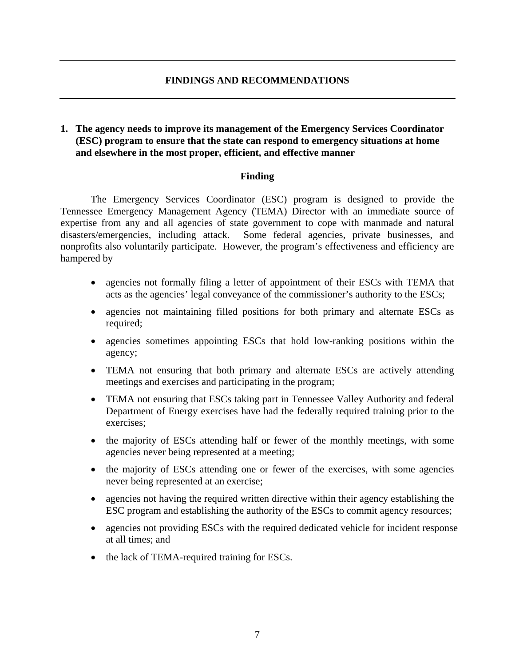# **FINDINGS AND RECOMMENDATIONS**

# **1. The agency needs to improve its management of the Emergency Services Coordinator (ESC) program to ensure that the state can respond to emergency situations at home and elsewhere in the most proper, efficient, and effective manner**

# **Finding**

The Emergency Services Coordinator (ESC) program is designed to provide the Tennessee Emergency Management Agency (TEMA) Director with an immediate source of expertise from any and all agencies of state government to cope with manmade and natural disasters/emergencies, including attack. Some federal agencies, private businesses, and nonprofits also voluntarily participate. However, the program's effectiveness and efficiency are hampered by

- agencies not formally filing a letter of appointment of their ESCs with TEMA that acts as the agencies' legal conveyance of the commissioner's authority to the ESCs;
- agencies not maintaining filled positions for both primary and alternate ESCs as required;
- agencies sometimes appointing ESCs that hold low-ranking positions within the agency;
- TEMA not ensuring that both primary and alternate ESCs are actively attending meetings and exercises and participating in the program;
- TEMA not ensuring that ESCs taking part in Tennessee Valley Authority and federal Department of Energy exercises have had the federally required training prior to the exercises;
- the majority of ESCs attending half or fewer of the monthly meetings, with some agencies never being represented at a meeting;
- the majority of ESCs attending one or fewer of the exercises, with some agencies never being represented at an exercise;
- agencies not having the required written directive within their agency establishing the ESC program and establishing the authority of the ESCs to commit agency resources;
- agencies not providing ESCs with the required dedicated vehicle for incident response at all times; and
- the lack of TEMA-required training for ESCs.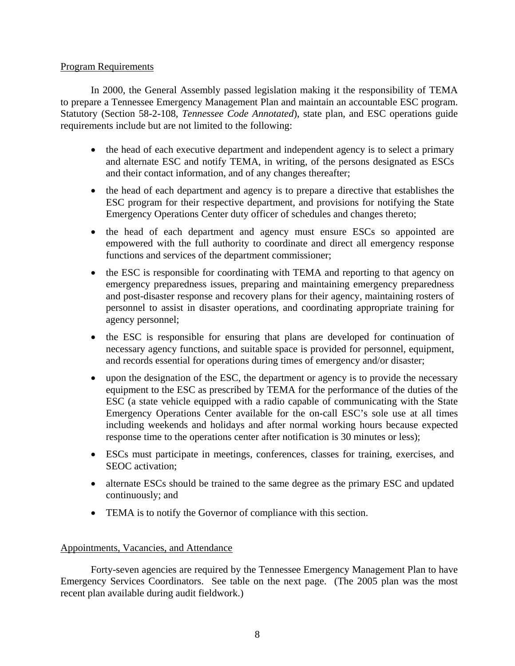# Program Requirements

 In 2000, the General Assembly passed legislation making it the responsibility of TEMA to prepare a Tennessee Emergency Management Plan and maintain an accountable ESC program. Statutory (Section 58-2-108, *Tennessee Code Annotated*), state plan, and ESC operations guide requirements include but are not limited to the following:

- the head of each executive department and independent agency is to select a primary and alternate ESC and notify TEMA, in writing, of the persons designated as ESCs and their contact information, and of any changes thereafter;
- the head of each department and agency is to prepare a directive that establishes the ESC program for their respective department, and provisions for notifying the State Emergency Operations Center duty officer of schedules and changes thereto;
- the head of each department and agency must ensure ESCs so appointed are empowered with the full authority to coordinate and direct all emergency response functions and services of the department commissioner;
- the ESC is responsible for coordinating with TEMA and reporting to that agency on emergency preparedness issues, preparing and maintaining emergency preparedness and post-disaster response and recovery plans for their agency, maintaining rosters of personnel to assist in disaster operations, and coordinating appropriate training for agency personnel;
- the ESC is responsible for ensuring that plans are developed for continuation of necessary agency functions, and suitable space is provided for personnel, equipment, and records essential for operations during times of emergency and/or disaster;
- upon the designation of the ESC, the department or agency is to provide the necessary equipment to the ESC as prescribed by TEMA for the performance of the duties of the ESC (a state vehicle equipped with a radio capable of communicating with the State Emergency Operations Center available for the on-call ESC's sole use at all times including weekends and holidays and after normal working hours because expected response time to the operations center after notification is 30 minutes or less);
- ESCs must participate in meetings, conferences, classes for training, exercises, and SEOC activation;
- alternate ESCs should be trained to the same degree as the primary ESC and updated continuously; and
- TEMA is to notify the Governor of compliance with this section.

# Appointments, Vacancies, and Attendance

Forty-seven agencies are required by the Tennessee Emergency Management Plan to have Emergency Services Coordinators. See table on the next page. (The 2005 plan was the most recent plan available during audit fieldwork.)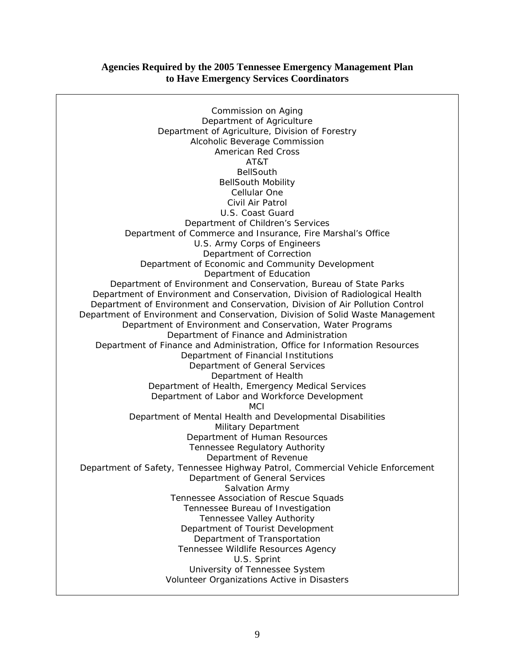# **Agencies Required by the 2005 Tennessee Emergency Management Plan to Have Emergency Services Coordinators**

Commission on Aging Department of Agriculture Department of Agriculture, Division of Forestry Alcoholic Beverage Commission American Red Cross AT&T BellSouth BellSouth Mobility Cellular One Civil Air Patrol U.S. Coast Guard Department of Children's Services Department of Commerce and Insurance, Fire Marshal's Office U.S. Army Corps of Engineers Department of Correction Department of Economic and Community Development Department of Education Department of Environment and Conservation, Bureau of State Parks Department of Environment and Conservation, Division of Radiological Health Department of Environment and Conservation, Division of Air Pollution Control Department of Environment and Conservation, Division of Solid Waste Management Department of Environment and Conservation, Water Programs Department of Finance and Administration Department of Finance and Administration, Office for Information Resources Department of Financial Institutions Department of General Services Department of Health Department of Health, Emergency Medical Services Department of Labor and Workforce Development **MCI** Department of Mental Health and Developmental Disabilities Military Department Department of Human Resources Tennessee Regulatory Authority Department of Revenue Department of Safety, Tennessee Highway Patrol, Commercial Vehicle Enforcement Department of General Services Salvation Army Tennessee Association of Rescue Squads Tennessee Bureau of Investigation Tennessee Valley Authority Department of Tourist Development Department of Transportation Tennessee Wildlife Resources Agency U.S. Sprint University of Tennessee System Volunteer Organizations Active in Disasters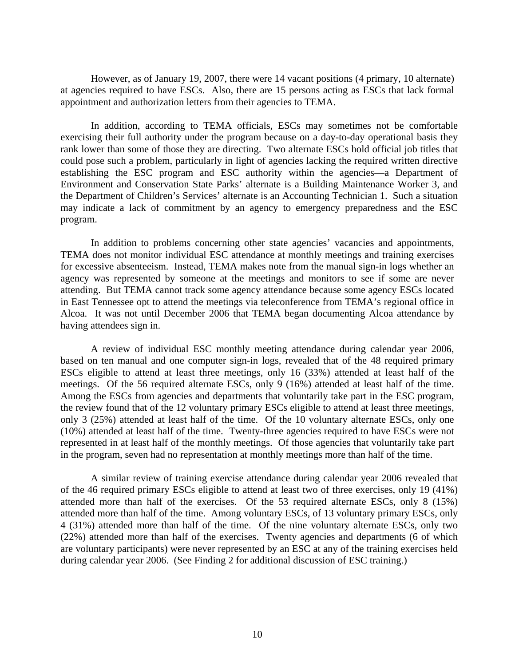However, as of January 19, 2007, there were 14 vacant positions (4 primary, 10 alternate) at agencies required to have ESCs. Also, there are 15 persons acting as ESCs that lack formal appointment and authorization letters from their agencies to TEMA.

In addition, according to TEMA officials, ESCs may sometimes not be comfortable exercising their full authority under the program because on a day-to-day operational basis they rank lower than some of those they are directing. Two alternate ESCs hold official job titles that could pose such a problem, particularly in light of agencies lacking the required written directive establishing the ESC program and ESC authority within the agencies—a Department of Environment and Conservation State Parks' alternate is a Building Maintenance Worker 3, and the Department of Children's Services' alternate is an Accounting Technician 1. Such a situation may indicate a lack of commitment by an agency to emergency preparedness and the ESC program.

In addition to problems concerning other state agencies' vacancies and appointments, TEMA does not monitor individual ESC attendance at monthly meetings and training exercises for excessive absenteeism. Instead, TEMA makes note from the manual sign-in logs whether an agency was represented by someone at the meetings and monitors to see if some are never attending. But TEMA cannot track some agency attendance because some agency ESCs located in East Tennessee opt to attend the meetings via teleconference from TEMA's regional office in Alcoa. It was not until December 2006 that TEMA began documenting Alcoa attendance by having attendees sign in.

A review of individual ESC monthly meeting attendance during calendar year 2006, based on ten manual and one computer sign-in logs, revealed that of the 48 required primary ESCs eligible to attend at least three meetings, only 16 (33%) attended at least half of the meetings. Of the 56 required alternate ESCs, only 9 (16%) attended at least half of the time. Among the ESCs from agencies and departments that voluntarily take part in the ESC program, the review found that of the 12 voluntary primary ESCs eligible to attend at least three meetings, only 3 (25%) attended at least half of the time. Of the 10 voluntary alternate ESCs, only one (10%) attended at least half of the time. Twenty-three agencies required to have ESCs were not represented in at least half of the monthly meetings. Of those agencies that voluntarily take part in the program, seven had no representation at monthly meetings more than half of the time.

A similar review of training exercise attendance during calendar year 2006 revealed that of the 46 required primary ESCs eligible to attend at least two of three exercises, only 19 (41%) attended more than half of the exercises. Of the 53 required alternate ESCs, only 8 (15%) attended more than half of the time. Among voluntary ESCs, of 13 voluntary primary ESCs, only 4 (31%) attended more than half of the time. Of the nine voluntary alternate ESCs, only two (22%) attended more than half of the exercises. Twenty agencies and departments (6 of which are voluntary participants) were never represented by an ESC at any of the training exercises held during calendar year 2006. (See Finding 2 for additional discussion of ESC training.)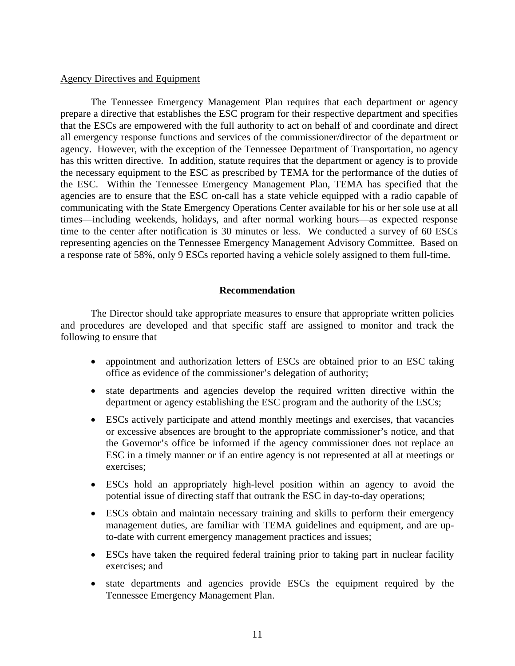### Agency Directives and Equipment

 The Tennessee Emergency Management Plan requires that each department or agency prepare a directive that establishes the ESC program for their respective department and specifies that the ESCs are empowered with the full authority to act on behalf of and coordinate and direct all emergency response functions and services of the commissioner/director of the department or agency. However, with the exception of the Tennessee Department of Transportation, no agency has this written directive. In addition, statute requires that the department or agency is to provide the necessary equipment to the ESC as prescribed by TEMA for the performance of the duties of the ESC. Within the Tennessee Emergency Management Plan, TEMA has specified that the agencies are to ensure that the ESC on-call has a state vehicle equipped with a radio capable of communicating with the State Emergency Operations Center available for his or her sole use at all times—including weekends, holidays, and after normal working hours—as expected response time to the center after notification is 30 minutes or less. We conducted a survey of 60 ESCs representing agencies on the Tennessee Emergency Management Advisory Committee. Based on a response rate of 58%, only 9 ESCs reported having a vehicle solely assigned to them full-time.

### **Recommendation**

The Director should take appropriate measures to ensure that appropriate written policies and procedures are developed and that specific staff are assigned to monitor and track the following to ensure that

- appointment and authorization letters of ESCs are obtained prior to an ESC taking office as evidence of the commissioner's delegation of authority;
- state departments and agencies develop the required written directive within the department or agency establishing the ESC program and the authority of the ESCs;
- ESCs actively participate and attend monthly meetings and exercises, that vacancies or excessive absences are brought to the appropriate commissioner's notice, and that the Governor's office be informed if the agency commissioner does not replace an ESC in a timely manner or if an entire agency is not represented at all at meetings or exercises;
- ESCs hold an appropriately high-level position within an agency to avoid the potential issue of directing staff that outrank the ESC in day-to-day operations;
- ESCs obtain and maintain necessary training and skills to perform their emergency management duties, are familiar with TEMA guidelines and equipment, and are upto-date with current emergency management practices and issues;
- ESCs have taken the required federal training prior to taking part in nuclear facility exercises; and
- state departments and agencies provide ESCs the equipment required by the Tennessee Emergency Management Plan.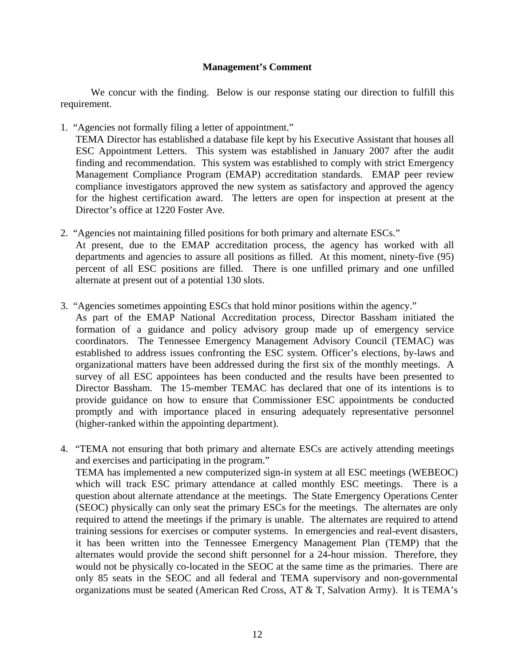# **Management's Comment**

We concur with the finding. Below is our response stating our direction to fulfill this requirement.

1. "Agencies not formally filing a letter of appointment."

TEMA Director has established a database file kept by his Executive Assistant that houses all ESC Appointment Letters. This system was established in January 2007 after the audit finding and recommendation. This system was established to comply with strict Emergency Management Compliance Program (EMAP) accreditation standards. EMAP peer review compliance investigators approved the new system as satisfactory and approved the agency for the highest certification award. The letters are open for inspection at present at the Director's office at 1220 Foster Ave.

- 2. "Agencies not maintaining filled positions for both primary and alternate ESCs." At present, due to the EMAP accreditation process, the agency has worked with all departments and agencies to assure all positions as filled. At this moment, ninety-five (95) percent of all ESC positions are filled. There is one unfilled primary and one unfilled alternate at present out of a potential 130 slots.
- 3. "Agencies sometimes appointing ESCs that hold minor positions within the agency."

As part of the EMAP National Accreditation process, Director Bassham initiated the formation of a guidance and policy advisory group made up of emergency service coordinators. The Tennessee Emergency Management Advisory Council (TEMAC) was established to address issues confronting the ESC system. Officer's elections, by-laws and organizational matters have been addressed during the first six of the monthly meetings. A survey of all ESC appointees has been conducted and the results have been presented to Director Bassham. The 15-member TEMAC has declared that one of its intentions is to provide guidance on how to ensure that Commissioner ESC appointments be conducted promptly and with importance placed in ensuring adequately representative personnel (higher-ranked within the appointing department).

4. "TEMA not ensuring that both primary and alternate ESCs are actively attending meetings and exercises and participating in the program." TEMA has implemented a new computerized sign-in system at all ESC meetings (WEBEOC) which will track ESC primary attendance at called monthly ESC meetings. There is a question about alternate attendance at the meetings. The State Emergency Operations Center (SEOC) physically can only seat the primary ESCs for the meetings. The alternates are only required to attend the meetings if the primary is unable. The alternates are required to attend training sessions for exercises or computer systems. In emergencies and real-event disasters, it has been written into the Tennessee Emergency Management Plan (TEMP) that the alternates would provide the second shift personnel for a 24-hour mission. Therefore, they would not be physically co-located in the SEOC at the same time as the primaries. There are only 85 seats in the SEOC and all federal and TEMA supervisory and non-governmental organizations must be seated (American Red Cross, AT & T, Salvation Army). It is TEMA's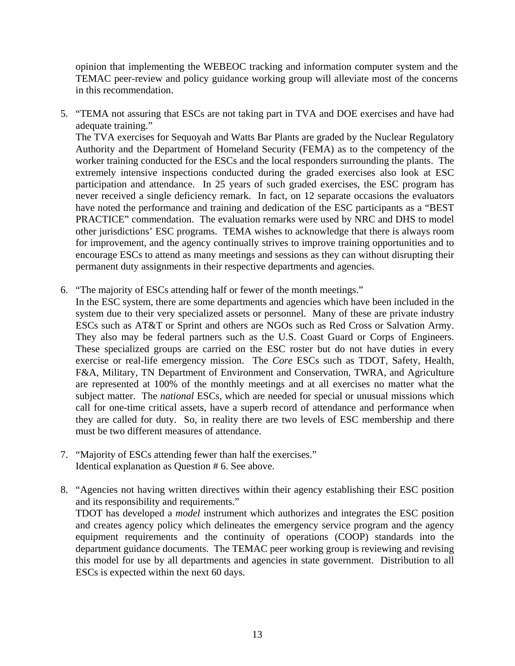opinion that implementing the WEBEOC tracking and information computer system and the TEMAC peer-review and policy guidance working group will alleviate most of the concerns in this recommendation.

5. "TEMA not assuring that ESCs are not taking part in TVA and DOE exercises and have had adequate training."

The TVA exercises for Sequoyah and Watts Bar Plants are graded by the Nuclear Regulatory Authority and the Department of Homeland Security (FEMA) as to the competency of the worker training conducted for the ESCs and the local responders surrounding the plants. The extremely intensive inspections conducted during the graded exercises also look at ESC participation and attendance. In 25 years of such graded exercises, the ESC program has never received a single deficiency remark. In fact, on 12 separate occasions the evaluators have noted the performance and training and dedication of the ESC participants as a "BEST PRACTICE" commendation. The evaluation remarks were used by NRC and DHS to model other jurisdictions' ESC programs. TEMA wishes to acknowledge that there is always room for improvement, and the agency continually strives to improve training opportunities and to encourage ESCs to attend as many meetings and sessions as they can without disrupting their permanent duty assignments in their respective departments and agencies.

- 6. "The majority of ESCs attending half or fewer of the month meetings."
	- In the ESC system, there are some departments and agencies which have been included in the system due to their very specialized assets or personnel. Many of these are private industry ESCs such as AT&T or Sprint and others are NGOs such as Red Cross or Salvation Army. They also may be federal partners such as the U.S. Coast Guard or Corps of Engineers. These specialized groups are carried on the ESC roster but do not have duties in every exercise or real-life emergency mission. The *Core* ESCs such as TDOT, Safety, Health, F&A, Military, TN Department of Environment and Conservation, TWRA, and Agriculture are represented at 100% of the monthly meetings and at all exercises no matter what the subject matter. The *national* ESCs, which are needed for special or unusual missions which call for one-time critical assets, have a superb record of attendance and performance when they are called for duty. So, in reality there are two levels of ESC membership and there must be two different measures of attendance.
- 7. "Majority of ESCs attending fewer than half the exercises." Identical explanation as Question # 6. See above.
- 8. "Agencies not having written directives within their agency establishing their ESC position and its responsibility and requirements."

TDOT has developed a *model* instrument which authorizes and integrates the ESC position and creates agency policy which delineates the emergency service program and the agency equipment requirements and the continuity of operations (COOP) standards into the department guidance documents. The TEMAC peer working group is reviewing and revising this model for use by all departments and agencies in state government. Distribution to all ESCs is expected within the next 60 days.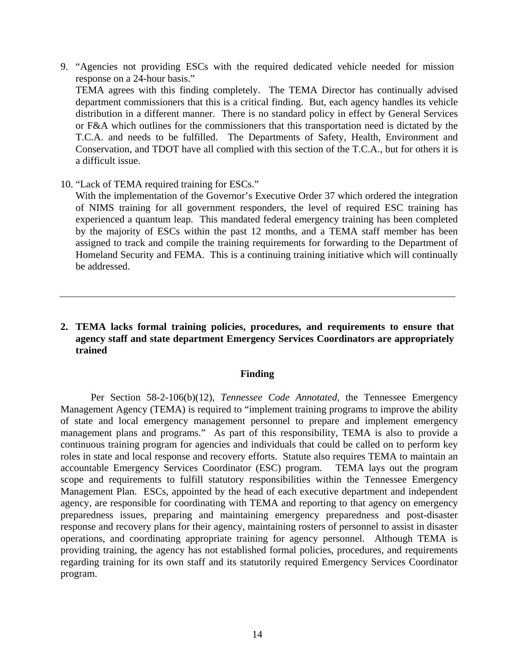- 9. "Agencies not providing ESCs with the required dedicated vehicle needed for mission response on a 24-hour basis." TEMA agrees with this finding completely. The TEMA Director has continually advised department commissioners that this is a critical finding. But, each agency handles its vehicle distribution in a different manner. There is no standard policy in effect by General Services or F&A which outlines for the commissioners that this transportation need is dictated by the T.C.A. and needs to be fulfilled. The Departments of Safety, Health, Environment and Conservation, and TDOT have all complied with this section of the T.C.A., but for others it is a difficult issue.
- 10. "Lack of TEMA required training for ESCs."

With the implementation of the Governor's Executive Order 37 which ordered the integration of NIMS training for all government responders, the level of required ESC training has experienced a quantum leap. This mandated federal emergency training has been completed by the majority of ESCs within the past 12 months, and a TEMA staff member has been assigned to track and compile the training requirements for forwarding to the Department of Homeland Security and FEMA. This is a continuing training initiative which will continually be addressed.

**2. TEMA lacks formal training policies, procedures, and requirements to ensure that agency staff and state department Emergency Services Coordinators are appropriately trained** 

# **Finding**

Per Section 58-2-106(b)(12), *Tennessee Code Annotated,* the Tennessee Emergency Management Agency (TEMA) is required to "implement training programs to improve the ability of state and local emergency management personnel to prepare and implement emergency management plans and programs." As part of this responsibility, TEMA is also to provide a continuous training program for agencies and individuals that could be called on to perform key roles in state and local response and recovery efforts. Statute also requires TEMA to maintain an accountable Emergency Services Coordinator (ESC) program. TEMA lays out the program scope and requirements to fulfill statutory responsibilities within the Tennessee Emergency Management Plan. ESCs, appointed by the head of each executive department and independent agency, are responsible for coordinating with TEMA and reporting to that agency on emergency preparedness issues, preparing and maintaining emergency preparedness and post-disaster response and recovery plans for their agency, maintaining rosters of personnel to assist in disaster operations, and coordinating appropriate training for agency personnel. Although TEMA is providing training, the agency has not established formal policies, procedures, and requirements regarding training for its own staff and its statutorily required Emergency Services Coordinator program.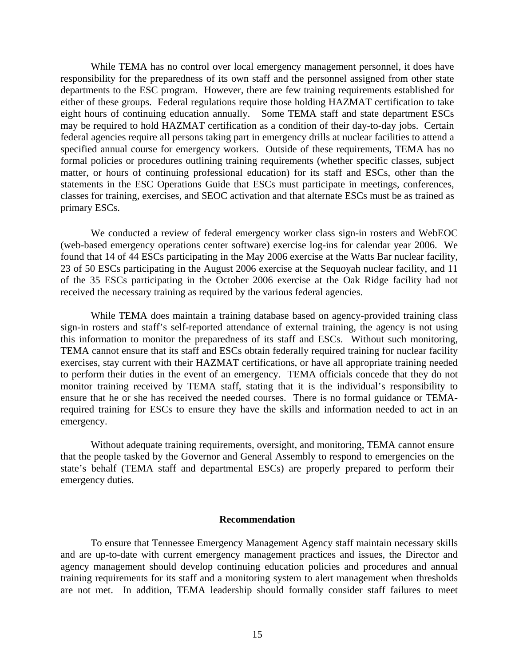While TEMA has no control over local emergency management personnel, it does have responsibility for the preparedness of its own staff and the personnel assigned from other state departments to the ESC program. However, there are few training requirements established for either of these groups. Federal regulations require those holding HAZMAT certification to take eight hours of continuing education annually. Some TEMA staff and state department ESCs may be required to hold HAZMAT certification as a condition of their day-to-day jobs. Certain federal agencies require all persons taking part in emergency drills at nuclear facilities to attend a specified annual course for emergency workers. Outside of these requirements, TEMA has no formal policies or procedures outlining training requirements (whether specific classes, subject matter, or hours of continuing professional education) for its staff and ESCs, other than the statements in the ESC Operations Guide that ESCs must participate in meetings, conferences, classes for training, exercises, and SEOC activation and that alternate ESCs must be as trained as primary ESCs.

We conducted a review of federal emergency worker class sign-in rosters and WebEOC (web-based emergency operations center software) exercise log-ins for calendar year 2006. We found that 14 of 44 ESCs participating in the May 2006 exercise at the Watts Bar nuclear facility, 23 of 50 ESCs participating in the August 2006 exercise at the Sequoyah nuclear facility, and 11 of the 35 ESCs participating in the October 2006 exercise at the Oak Ridge facility had not received the necessary training as required by the various federal agencies.

While TEMA does maintain a training database based on agency-provided training class sign-in rosters and staff's self-reported attendance of external training, the agency is not using this information to monitor the preparedness of its staff and ESCs. Without such monitoring, TEMA cannot ensure that its staff and ESCs obtain federally required training for nuclear facility exercises, stay current with their HAZMAT certifications, or have all appropriate training needed to perform their duties in the event of an emergency. TEMA officials concede that they do not monitor training received by TEMA staff, stating that it is the individual's responsibility to ensure that he or she has received the needed courses. There is no formal guidance or TEMArequired training for ESCs to ensure they have the skills and information needed to act in an emergency.

Without adequate training requirements, oversight, and monitoring, TEMA cannot ensure that the people tasked by the Governor and General Assembly to respond to emergencies on the state's behalf (TEMA staff and departmental ESCs) are properly prepared to perform their emergency duties.

#### **Recommendation**

 To ensure that Tennessee Emergency Management Agency staff maintain necessary skills and are up-to-date with current emergency management practices and issues, the Director and agency management should develop continuing education policies and procedures and annual training requirements for its staff and a monitoring system to alert management when thresholds are not met. In addition, TEMA leadership should formally consider staff failures to meet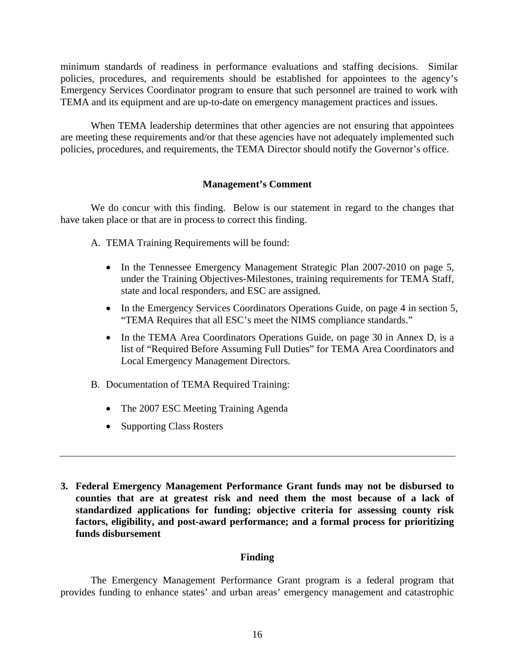minimum standards of readiness in performance evaluations and staffing decisions. Similar policies, procedures, and requirements should be established for appointees to the agency's Emergency Services Coordinator program to ensure that such personnel are trained to work with TEMA and its equipment and are up-to-date on emergency management practices and issues.

When TEMA leadership determines that other agencies are not ensuring that appointees are meeting these requirements and/or that these agencies have not adequately implemented such policies, procedures, and requirements, the TEMA Director should notify the Governor's office.

# **Management's Comment**

We do concur with this finding. Below is our statement in regard to the changes that have taken place or that are in process to correct this finding.

- A. TEMA Training Requirements will be found:
	- In the Tennessee Emergency Management Strategic Plan 2007-2010 on page 5, under the Training Objectives-Milestones, training requirements for TEMA Staff, state and local responders, and ESC are assigned.
	- In the Emergency Services Coordinators Operations Guide, on page 4 in section 5, "TEMA Requires that all ESC's meet the NIMS compliance standards."
	- In the TEMA Area Coordinators Operations Guide, on page 30 in Annex D, is a list of "Required Before Assuming Full Duties" for TEMA Area Coordinators and Local Emergency Management Directors.
- B. Documentation of TEMA Required Training:
	- The 2007 ESC Meeting Training Agenda
	- Supporting Class Rosters
- **3. Federal Emergency Management Performance Grant funds may not be disbursed to counties that are at greatest risk and need them the most because of a lack of standardized applications for funding; objective criteria for assessing county risk factors, eligibility, and post-award performance; and a formal process for prioritizing funds disbursement**

# **Finding**

The Emergency Management Performance Grant program is a federal program that provides funding to enhance states' and urban areas' emergency management and catastrophic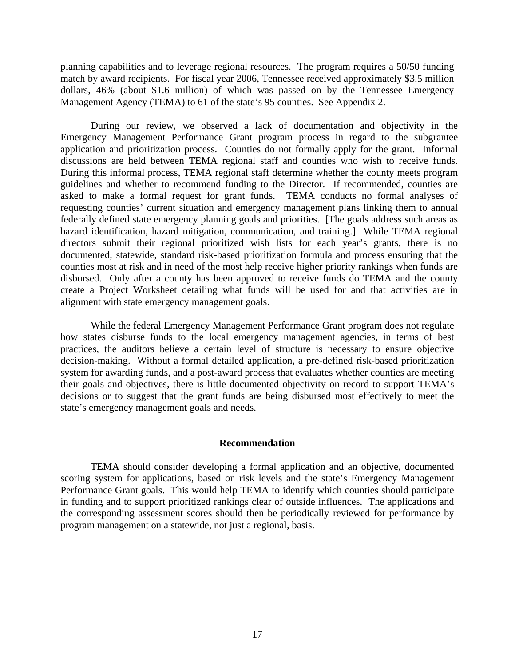planning capabilities and to leverage regional resources. The program requires a 50/50 funding match by award recipients. For fiscal year 2006, Tennessee received approximately \$3.5 million dollars, 46% (about \$1.6 million) of which was passed on by the Tennessee Emergency Management Agency (TEMA) to 61 of the state's 95 counties. See Appendix 2.

 During our review, we observed a lack of documentation and objectivity in the Emergency Management Performance Grant program process in regard to the subgrantee application and prioritization process. Counties do not formally apply for the grant. Informal discussions are held between TEMA regional staff and counties who wish to receive funds. During this informal process, TEMA regional staff determine whether the county meets program guidelines and whether to recommend funding to the Director. If recommended, counties are asked to make a formal request for grant funds. TEMA conducts no formal analyses of requesting counties' current situation and emergency management plans linking them to annual federally defined state emergency planning goals and priorities. [The goals address such areas as hazard identification, hazard mitigation, communication, and training.] While TEMA regional directors submit their regional prioritized wish lists for each year's grants, there is no documented, statewide, standard risk-based prioritization formula and process ensuring that the counties most at risk and in need of the most help receive higher priority rankings when funds are disbursed. Only after a county has been approved to receive funds do TEMA and the county create a Project Worksheet detailing what funds will be used for and that activities are in alignment with state emergency management goals.

While the federal Emergency Management Performance Grant program does not regulate how states disburse funds to the local emergency management agencies, in terms of best practices, the auditors believe a certain level of structure is necessary to ensure objective decision-making. Without a formal detailed application, a pre-defined risk-based prioritization system for awarding funds, and a post-award process that evaluates whether counties are meeting their goals and objectives, there is little documented objectivity on record to support TEMA's decisions or to suggest that the grant funds are being disbursed most effectively to meet the state's emergency management goals and needs.

#### **Recommendation**

TEMA should consider developing a formal application and an objective, documented scoring system for applications, based on risk levels and the state's Emergency Management Performance Grant goals. This would help TEMA to identify which counties should participate in funding and to support prioritized rankings clear of outside influences. The applications and the corresponding assessment scores should then be periodically reviewed for performance by program management on a statewide, not just a regional, basis.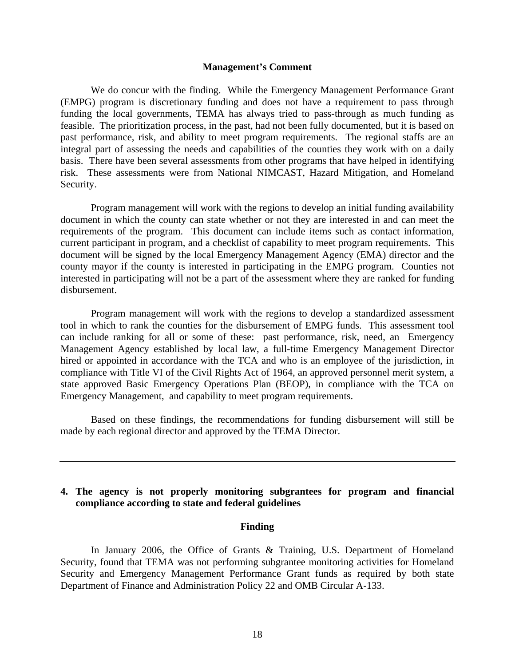#### **Management's Comment**

We do concur with the finding. While the Emergency Management Performance Grant (EMPG) program is discretionary funding and does not have a requirement to pass through funding the local governments, TEMA has always tried to pass-through as much funding as feasible. The prioritization process, in the past, had not been fully documented, but it is based on past performance, risk, and ability to meet program requirements. The regional staffs are an integral part of assessing the needs and capabilities of the counties they work with on a daily basis. There have been several assessments from other programs that have helped in identifying risk. These assessments were from National NIMCAST, Hazard Mitigation, and Homeland Security.

Program management will work with the regions to develop an initial funding availability document in which the county can state whether or not they are interested in and can meet the requirements of the program. This document can include items such as contact information, current participant in program, and a checklist of capability to meet program requirements. This document will be signed by the local Emergency Management Agency (EMA) director and the county mayor if the county is interested in participating in the EMPG program. Counties not interested in participating will not be a part of the assessment where they are ranked for funding disbursement.

Program management will work with the regions to develop a standardized assessment tool in which to rank the counties for the disbursement of EMPG funds. This assessment tool can include ranking for all or some of these: past performance, risk, need, an Emergency Management Agency established by local law, a full-time Emergency Management Director hired or appointed in accordance with the TCA and who is an employee of the jurisdiction, in compliance with Title VI of the Civil Rights Act of 1964, an approved personnel merit system, a state approved Basic Emergency Operations Plan (BEOP), in compliance with the TCA on Emergency Management, and capability to meet program requirements.

Based on these findings, the recommendations for funding disbursement will still be made by each regional director and approved by the TEMA Director.

# **4. The agency is not properly monitoring subgrantees for program and financial compliance according to state and federal guidelines**

#### **Finding**

In January 2006, the Office of Grants & Training, U.S. Department of Homeland Security, found that TEMA was not performing subgrantee monitoring activities for Homeland Security and Emergency Management Performance Grant funds as required by both state Department of Finance and Administration Policy 22 and OMB Circular A-133.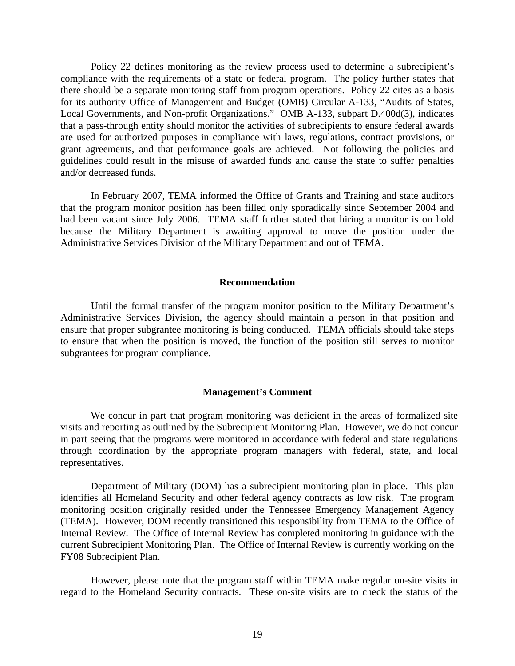Policy 22 defines monitoring as the review process used to determine a subrecipient's compliance with the requirements of a state or federal program. The policy further states that there should be a separate monitoring staff from program operations. Policy 22 cites as a basis for its authority Office of Management and Budget (OMB) Circular A-133, "Audits of States, Local Governments, and Non-profit Organizations." OMB A-133, subpart D.400d(3), indicates that a pass-through entity should monitor the activities of subrecipients to ensure federal awards are used for authorized purposes in compliance with laws, regulations, contract provisions, or grant agreements, and that performance goals are achieved. Not following the policies and guidelines could result in the misuse of awarded funds and cause the state to suffer penalties and/or decreased funds.

In February 2007, TEMA informed the Office of Grants and Training and state auditors that the program monitor position has been filled only sporadically since September 2004 and had been vacant since July 2006. TEMA staff further stated that hiring a monitor is on hold because the Military Department is awaiting approval to move the position under the Administrative Services Division of the Military Department and out of TEMA.

#### **Recommendation**

Until the formal transfer of the program monitor position to the Military Department's Administrative Services Division, the agency should maintain a person in that position and ensure that proper subgrantee monitoring is being conducted. TEMA officials should take steps to ensure that when the position is moved, the function of the position still serves to monitor subgrantees for program compliance.

#### **Management's Comment**

We concur in part that program monitoring was deficient in the areas of formalized site visits and reporting as outlined by the Subrecipient Monitoring Plan. However, we do not concur in part seeing that the programs were monitored in accordance with federal and state regulations through coordination by the appropriate program managers with federal, state, and local representatives.

Department of Military (DOM) has a subrecipient monitoring plan in place. This plan identifies all Homeland Security and other federal agency contracts as low risk. The program monitoring position originally resided under the Tennessee Emergency Management Agency (TEMA). However, DOM recently transitioned this responsibility from TEMA to the Office of Internal Review. The Office of Internal Review has completed monitoring in guidance with the current Subrecipient Monitoring Plan. The Office of Internal Review is currently working on the FY08 Subrecipient Plan.

However, please note that the program staff within TEMA make regular on-site visits in regard to the Homeland Security contracts. These on-site visits are to check the status of the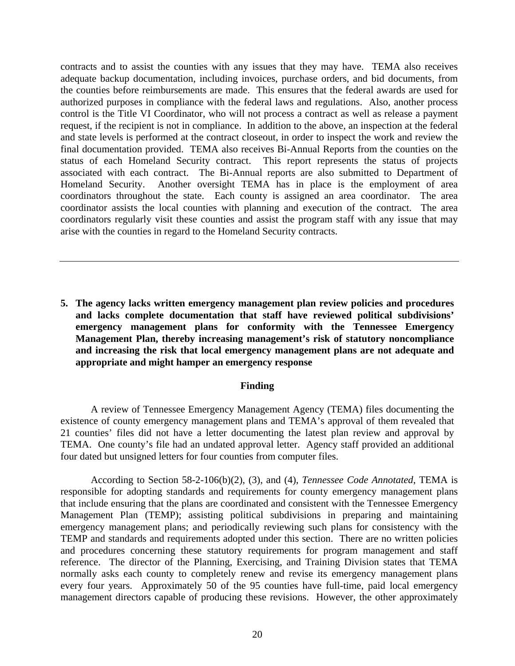contracts and to assist the counties with any issues that they may have. TEMA also receives adequate backup documentation, including invoices, purchase orders, and bid documents, from the counties before reimbursements are made. This ensures that the federal awards are used for authorized purposes in compliance with the federal laws and regulations. Also, another process control is the Title VI Coordinator, who will not process a contract as well as release a payment request, if the recipient is not in compliance. In addition to the above, an inspection at the federal and state levels is performed at the contract closeout, in order to inspect the work and review the final documentation provided. TEMA also receives Bi-Annual Reports from the counties on the status of each Homeland Security contract. This report represents the status of projects associated with each contract. The Bi-Annual reports are also submitted to Department of Homeland Security. Another oversight TEMA has in place is the employment of area coordinators throughout the state. Each county is assigned an area coordinator. The area coordinator assists the local counties with planning and execution of the contract. The area coordinators regularly visit these counties and assist the program staff with any issue that may arise with the counties in regard to the Homeland Security contracts.

**5. The agency lacks written emergency management plan review policies and procedures and lacks complete documentation that staff have reviewed political subdivisions' emergency management plans for conformity with the Tennessee Emergency Management Plan, thereby increasing management's risk of statutory noncompliance and increasing the risk that local emergency management plans are not adequate and appropriate and might hamper an emergency response** 

#### **Finding**

A review of Tennessee Emergency Management Agency (TEMA) files documenting the existence of county emergency management plans and TEMA's approval of them revealed that 21 counties' files did not have a letter documenting the latest plan review and approval by TEMA. One county's file had an undated approval letter. Agency staff provided an additional four dated but unsigned letters for four counties from computer files.

 According to Section 58-2-106(b)(2), (3), and (4), *Tennessee Code Annotated*, TEMA is responsible for adopting standards and requirements for county emergency management plans that include ensuring that the plans are coordinated and consistent with the Tennessee Emergency Management Plan (TEMP); assisting political subdivisions in preparing and maintaining emergency management plans; and periodically reviewing such plans for consistency with the TEMP and standards and requirements adopted under this section. There are no written policies and procedures concerning these statutory requirements for program management and staff reference. The director of the Planning, Exercising, and Training Division states that TEMA normally asks each county to completely renew and revise its emergency management plans every four years. Approximately 50 of the 95 counties have full-time, paid local emergency management directors capable of producing these revisions. However, the other approximately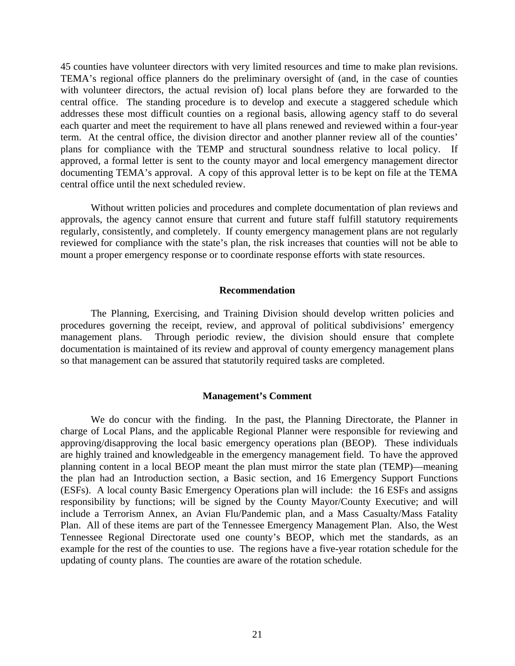45 counties have volunteer directors with very limited resources and time to make plan revisions. TEMA's regional office planners do the preliminary oversight of (and, in the case of counties with volunteer directors, the actual revision of) local plans before they are forwarded to the central office. The standing procedure is to develop and execute a staggered schedule which addresses these most difficult counties on a regional basis, allowing agency staff to do several each quarter and meet the requirement to have all plans renewed and reviewed within a four-year term. At the central office, the division director and another planner review all of the counties' plans for compliance with the TEMP and structural soundness relative to local policy. If approved, a formal letter is sent to the county mayor and local emergency management director documenting TEMA's approval. A copy of this approval letter is to be kept on file at the TEMA central office until the next scheduled review.

 Without written policies and procedures and complete documentation of plan reviews and approvals, the agency cannot ensure that current and future staff fulfill statutory requirements regularly, consistently, and completely. If county emergency management plans are not regularly reviewed for compliance with the state's plan, the risk increases that counties will not be able to mount a proper emergency response or to coordinate response efforts with state resources.

#### **Recommendation**

 The Planning, Exercising, and Training Division should develop written policies and procedures governing the receipt, review, and approval of political subdivisions' emergency management plans. Through periodic review, the division should ensure that complete documentation is maintained of its review and approval of county emergency management plans so that management can be assured that statutorily required tasks are completed.

#### **Management's Comment**

We do concur with the finding. In the past, the Planning Directorate, the Planner in charge of Local Plans, and the applicable Regional Planner were responsible for reviewing and approving/disapproving the local basic emergency operations plan (BEOP). These individuals are highly trained and knowledgeable in the emergency management field. To have the approved planning content in a local BEOP meant the plan must mirror the state plan (TEMP)—meaning the plan had an Introduction section, a Basic section, and 16 Emergency Support Functions (ESFs). A local county Basic Emergency Operations plan will include: the 16 ESFs and assigns responsibility by functions; will be signed by the County Mayor/County Executive; and will include a Terrorism Annex, an Avian Flu/Pandemic plan, and a Mass Casualty/Mass Fatality Plan. All of these items are part of the Tennessee Emergency Management Plan. Also, the West Tennessee Regional Directorate used one county's BEOP, which met the standards, as an example for the rest of the counties to use. The regions have a five-year rotation schedule for the updating of county plans. The counties are aware of the rotation schedule.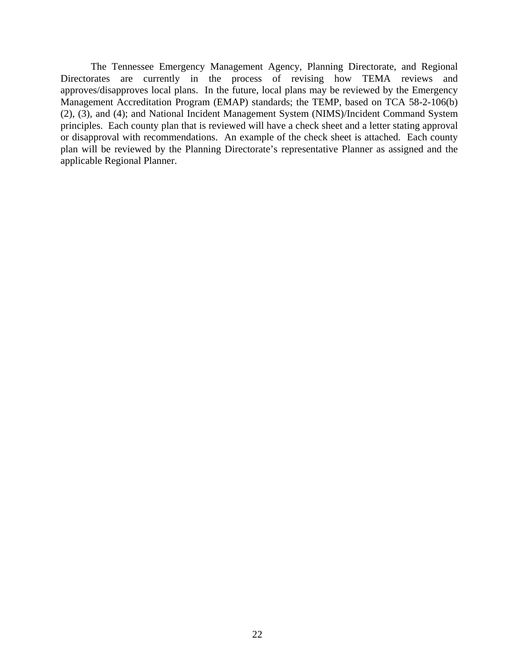The Tennessee Emergency Management Agency, Planning Directorate, and Regional Directorates are currently in the process of revising how TEMA reviews and approves/disapproves local plans. In the future, local plans may be reviewed by the Emergency Management Accreditation Program (EMAP) standards; the TEMP, based on TCA 58-2-106(b) (2), (3), and (4); and National Incident Management System (NIMS)/Incident Command System principles. Each county plan that is reviewed will have a check sheet and a letter stating approval or disapproval with recommendations. An example of the check sheet is attached. Each county plan will be reviewed by the Planning Directorate's representative Planner as assigned and the applicable Regional Planner.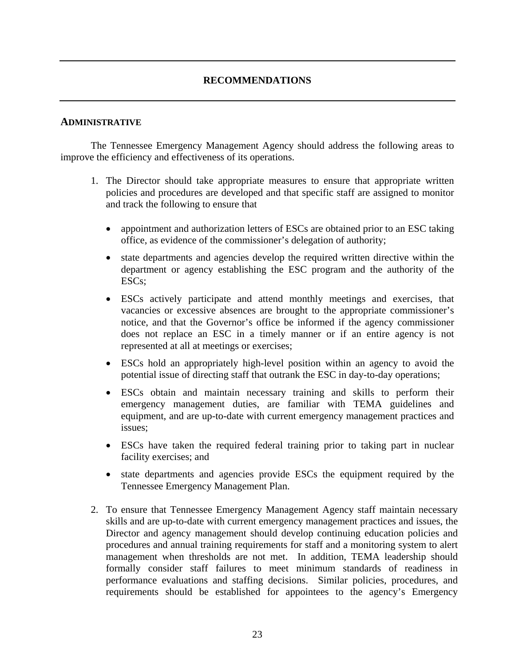# **RECOMMENDATIONS**

### **ADMINISTRATIVE**

 The Tennessee Emergency Management Agency should address the following areas to improve the efficiency and effectiveness of its operations.

- 1. The Director should take appropriate measures to ensure that appropriate written policies and procedures are developed and that specific staff are assigned to monitor and track the following to ensure that
	- appointment and authorization letters of ESCs are obtained prior to an ESC taking office, as evidence of the commissioner's delegation of authority;
	- state departments and agencies develop the required written directive within the department or agency establishing the ESC program and the authority of the ESCs;
	- ESCs actively participate and attend monthly meetings and exercises, that vacancies or excessive absences are brought to the appropriate commissioner's notice, and that the Governor's office be informed if the agency commissioner does not replace an ESC in a timely manner or if an entire agency is not represented at all at meetings or exercises;
	- ESCs hold an appropriately high-level position within an agency to avoid the potential issue of directing staff that outrank the ESC in day-to-day operations;
	- ESCs obtain and maintain necessary training and skills to perform their emergency management duties, are familiar with TEMA guidelines and equipment, and are up-to-date with current emergency management practices and issues;
	- ESCs have taken the required federal training prior to taking part in nuclear facility exercises; and
	- state departments and agencies provide ESCs the equipment required by the Tennessee Emergency Management Plan.
- 2. To ensure that Tennessee Emergency Management Agency staff maintain necessary skills and are up-to-date with current emergency management practices and issues, the Director and agency management should develop continuing education policies and procedures and annual training requirements for staff and a monitoring system to alert management when thresholds are not met. In addition, TEMA leadership should formally consider staff failures to meet minimum standards of readiness in performance evaluations and staffing decisions. Similar policies, procedures, and requirements should be established for appointees to the agency's Emergency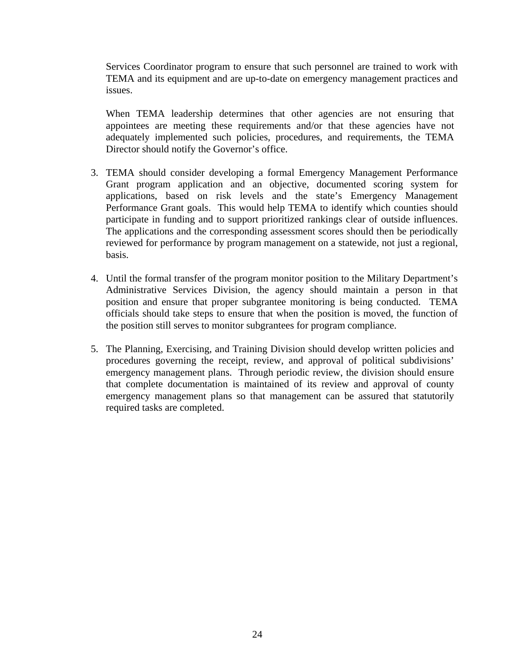Services Coordinator program to ensure that such personnel are trained to work with TEMA and its equipment and are up-to-date on emergency management practices and issues.

When TEMA leadership determines that other agencies are not ensuring that appointees are meeting these requirements and/or that these agencies have not adequately implemented such policies, procedures, and requirements, the TEMA Director should notify the Governor's office.

- 3. TEMA should consider developing a formal Emergency Management Performance Grant program application and an objective, documented scoring system for applications, based on risk levels and the state's Emergency Management Performance Grant goals. This would help TEMA to identify which counties should participate in funding and to support prioritized rankings clear of outside influences. The applications and the corresponding assessment scores should then be periodically reviewed for performance by program management on a statewide, not just a regional, basis.
- 4. Until the formal transfer of the program monitor position to the Military Department's Administrative Services Division, the agency should maintain a person in that position and ensure that proper subgrantee monitoring is being conducted. TEMA officials should take steps to ensure that when the position is moved, the function of the position still serves to monitor subgrantees for program compliance.
- 5. The Planning, Exercising, and Training Division should develop written policies and procedures governing the receipt, review, and approval of political subdivisions' emergency management plans. Through periodic review, the division should ensure that complete documentation is maintained of its review and approval of county emergency management plans so that management can be assured that statutorily required tasks are completed.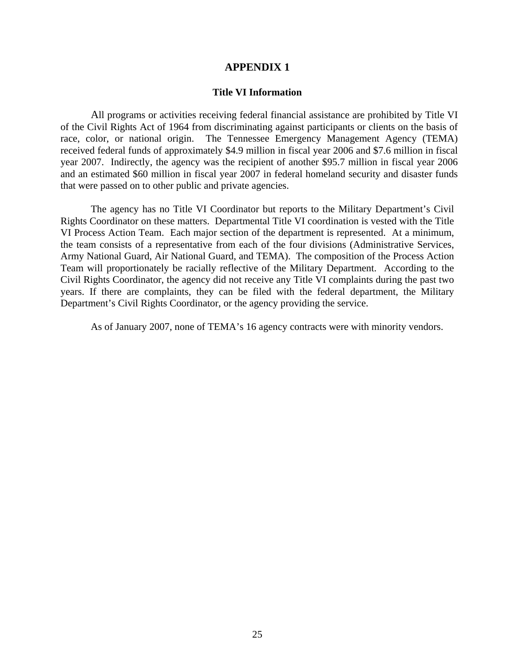#### **APPENDIX 1**

#### **Title VI Information**

All programs or activities receiving federal financial assistance are prohibited by Title VI of the Civil Rights Act of 1964 from discriminating against participants or clients on the basis of race, color, or national origin. The Tennessee Emergency Management Agency (TEMA) received federal funds of approximately \$4.9 million in fiscal year 2006 and \$7.6 million in fiscal year 2007. Indirectly, the agency was the recipient of another \$95.7 million in fiscal year 2006 and an estimated \$60 million in fiscal year 2007 in federal homeland security and disaster funds that were passed on to other public and private agencies.

The agency has no Title VI Coordinator but reports to the Military Department's Civil Rights Coordinator on these matters. Departmental Title VI coordination is vested with the Title VI Process Action Team. Each major section of the department is represented. At a minimum, the team consists of a representative from each of the four divisions (Administrative Services, Army National Guard, Air National Guard, and TEMA). The composition of the Process Action Team will proportionately be racially reflective of the Military Department. According to the Civil Rights Coordinator, the agency did not receive any Title VI complaints during the past two years. If there are complaints, they can be filed with the federal department, the Military Department's Civil Rights Coordinator, or the agency providing the service.

As of January 2007, none of TEMA's 16 agency contracts were with minority vendors.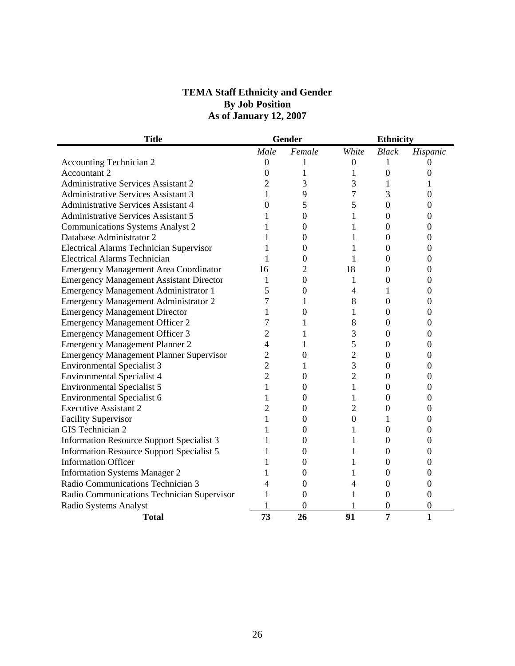# **TEMA Staff Ethnicity and Gender By Job Position As of January 12, 2007**

| <b>Title</b>                                     |                  | Gender   |                  | <b>Ethnicity</b> |                  |
|--------------------------------------------------|------------------|----------|------------------|------------------|------------------|
|                                                  | Male             | Female   | White            | <b>Black</b>     | Hispanic         |
| <b>Accounting Technician 2</b>                   | $\boldsymbol{0}$ | 1        | $\boldsymbol{0}$ | T                | $\Omega$         |
| <b>Accountant 2</b>                              | $\boldsymbol{0}$ | 1        | 1                | $\boldsymbol{0}$ | $\Omega$         |
| <b>Administrative Services Assistant 2</b>       | $\overline{2}$   | 3        | 3                | 1                |                  |
| <b>Administrative Services Assistant 3</b>       | 1                | 9        | 7                | 3                | $\overline{0}$   |
| <b>Administrative Services Assistant 4</b>       | $\mathbf{0}$     | 5        | 5                | $\overline{0}$   | $\overline{0}$   |
| <b>Administrative Services Assistant 5</b>       | 1                | 0        | $\mathbf{1}$     | $\boldsymbol{0}$ | $\overline{0}$   |
| <b>Communications Systems Analyst 2</b>          |                  | 0        | $\mathbf{1}$     | $\boldsymbol{0}$ | $\boldsymbol{0}$ |
| Database Administrator 2                         |                  | 0        | $\mathbf{1}$     | $\boldsymbol{0}$ | $\overline{0}$   |
| <b>Electrical Alarms Technician Supervisor</b>   |                  | 0        | 1                | $\boldsymbol{0}$ | $\theta$         |
| <b>Electrical Alarms Technician</b>              |                  | 0        | 1                | $\theta$         | $\Omega$         |
| <b>Emergency Management Area Coordinator</b>     | 16               | 2        | 18               | $\theta$         | $\Omega$         |
| <b>Emergency Management Assistant Director</b>   | 1                | 0        | 1                | $\theta$         | $\Omega$         |
| <b>Emergency Management Administrator 1</b>      | 5                | $\Omega$ | 4                | 1                | $\Omega$         |
| <b>Emergency Management Administrator 2</b>      | 7                | 1        | 8                | $\overline{0}$   | $_{0}$           |
| <b>Emergency Management Director</b>             |                  | 0        | $\mathbf{1}$     | $\theta$         | $\theta$         |
| <b>Emergency Management Officer 2</b>            | 7                |          | 8                | 0                | 0                |
| <b>Emergency Management Officer 3</b>            | 2                |          | 3                | 0                | 0                |
| <b>Emergency Management Planner 2</b>            | 4                |          | 5                | $\overline{0}$   | $\theta$         |
| <b>Emergency Management Planner Supervisor</b>   | $\overline{c}$   | 0        | $\overline{2}$   | $\overline{0}$   | 0                |
| <b>Environmental Specialist 3</b>                | $\overline{2}$   | 1        | 3                | $\overline{0}$   | 0                |
| <b>Environmental Specialist 4</b>                | $\overline{2}$   | 0        | $\overline{2}$   | $\overline{0}$   | 0                |
| <b>Environmental Specialist 5</b>                | 1                | 0        | $\mathbf{1}$     | $\overline{0}$   | 0                |
| <b>Environmental Specialist 6</b>                |                  | $\theta$ | $\mathbf{1}$     | $\overline{0}$   | $\boldsymbol{0}$ |
| <b>Executive Assistant 2</b>                     | $\overline{c}$   | 0        | $\overline{c}$   | $\overline{0}$   | $\overline{0}$   |
| <b>Facility Supervisor</b>                       |                  | 0        | $\overline{0}$   | 1                | $\Omega$         |
| GIS Technician 2                                 |                  | $\Omega$ | 1                | $\overline{0}$   | 0                |
| <b>Information Resource Support Specialist 3</b> |                  | 0        | 1                | $\overline{0}$   | 0                |
| <b>Information Resource Support Specialist 5</b> |                  | 0        | 1                | $\overline{0}$   | 0                |
| <b>Information Officer</b>                       |                  | 0        | 1                | $\overline{0}$   | 0                |
| <b>Information Systems Manager 2</b>             |                  | 0        | 1                | $\boldsymbol{0}$ | 0                |
| Radio Communications Technician 3                | 4                | 0        | 4                | $\boldsymbol{0}$ | $\boldsymbol{0}$ |
| Radio Communications Technician Supervisor       | 1                | $\theta$ | 1                | $\overline{0}$   | $\overline{0}$   |
| Radio Systems Analyst                            |                  | 0        |                  | 0                | $\boldsymbol{0}$ |
| <b>Total</b>                                     | 73               | 26       | 91               | 7                | $\mathbf{1}$     |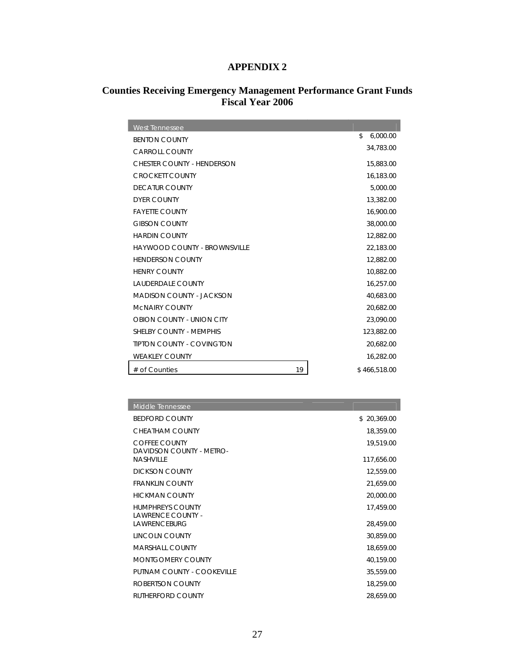# **APPENDIX 2**

# **Counties Receiving Emergency Management Performance Grant Funds Fiscal Year 2006**

| <b>West Tennessee</b>               |                |
|-------------------------------------|----------------|
| <b>BENTON COUNTY</b>                | \$<br>6,000.00 |
| CARROLL COUNTY                      | 34,783.00      |
| <b>CHESTER COUNTY - HENDERSON</b>   | 15,883.00      |
| <b>CROCKETT COUNTY</b>              | 16,183.00      |
| <b>DECATUR COUNTY</b>               | 5,000.00       |
| <b>DYER COUNTY</b>                  | 13,382.00      |
| <b>FAYETTE COUNTY</b>               | 16,900.00      |
| <b>GIBSON COUNTY</b>                | 38,000.00      |
| <b>HARDIN COUNTY</b>                | 12,882.00      |
| <b>HAYWOOD COUNTY - BROWNSVILLE</b> | 22,183.00      |
| <b>HENDERSON COUNTY</b>             | 12,882.00      |
| <b>HENRY COUNTY</b>                 | 10,882.00      |
| <b>LAUDERDALE COUNTY</b>            | 16,257.00      |
| <b>MADISON COUNTY - JACKSON</b>     | 40,683.00      |
| <b>MCNAIRY COUNTY</b>               | 20,682.00      |
| OBION COUNTY - UNION CITY           | 23,090.00      |
| SHELBY COUNTY - MEMPHIS             | 123,882.00     |
| <b>TIPTON COUNTY - COVINGTON</b>    | 20,682.00      |
| <b>WEAKLEY COUNTY</b>               | 16,282.00      |
| 19<br># of Counties                 | \$466,518.00   |

| <b>Middle Tennessee</b>                          |             |
|--------------------------------------------------|-------------|
| <b>BEDFORD COUNTY</b>                            | \$20,369.00 |
| CHEATHAM COUNTY                                  | 18,359.00   |
| <b>COFFEE COUNTY</b><br>DAVIDSON COUNTY - METRO- | 19,519.00   |
| <b>NASHVILLE</b>                                 | 117,656.00  |
| <b>DICKSON COUNTY</b>                            | 12,559.00   |
| <b>FRANKLIN COUNTY</b>                           | 21,659.00   |
| <b>HICKMAN COUNTY</b>                            | 20,000.00   |
| <b>HUMPHREYS COUNTY</b><br>LAWRENCE COUNTY -     | 17,459.00   |
| <b>LAWRENCEBURG</b>                              | 28,459.00   |
| LINCOLN COUNTY                                   | 30,859.00   |
| <b>MARSHALL COUNTY</b>                           | 18,659.00   |
| MONTGOMERY COUNTY                                | 40,159.00   |
| PUTNAM COUNTY - COOKEVILLE                       | 35,559.00   |
| ROBERTSON COUNTY                                 | 18,259.00   |
| RUTHERFORD COUNTY                                | 28,659.00   |